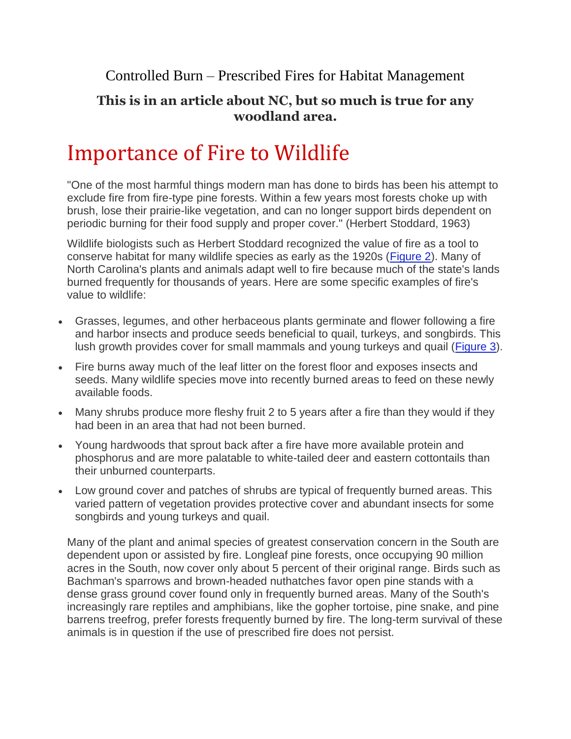Controlled Burn – Prescribed Fires for Habitat Management

## **This is in an article about NC, but so much is true for any woodland area.**

## Importance of Fire to Wildlife

"One of the most harmful things modern man has done to birds has been his attempt to exclude fire from fire-type pine forests. Within a few years most forests choke up with brush, lose their prairie-like vegetation, and can no longer support birds dependent on periodic burning for their food supply and proper cover." (Herbert Stoddard, 1963)

Wildlife biologists such as Herbert Stoddard recognized the value of fire as a tool to conserve habitat for many wildlife species as early as the 1920s [\(Figure 2\)](https://content.ces.ncsu.edu/using-fire-to-improve-wildlife-habitat#img_dialog_4715). Many of North Carolina's plants and animals adapt well to fire because much of the state's lands burned frequently for thousands of years. Here are some specific examples of fire's value to wildlife:

- Grasses, legumes, and other herbaceous plants germinate and flower following a fire and harbor insects and produce seeds beneficial to quail, turkeys, and songbirds. This lush growth provides cover for small mammals and young turkeys and quail [\(Figure 3\)](https://content.ces.ncsu.edu/using-fire-to-improve-wildlife-habitat#img_dialog_4716).
- Fire burns away much of the leaf litter on the forest floor and exposes insects and seeds. Many wildlife species move into recently burned areas to feed on these newly available foods.
- Many shrubs produce more fleshy fruit 2 to 5 years after a fire than they would if they had been in an area that had not been burned.
- Young hardwoods that sprout back after a fire have more available protein and phosphorus and are more palatable to white-tailed deer and eastern cottontails than their unburned counterparts.
- Low ground cover and patches of shrubs are typical of frequently burned areas. This varied pattern of vegetation provides protective cover and abundant insects for some songbirds and young turkeys and quail.

Many of the plant and animal species of greatest conservation concern in the South are dependent upon or assisted by fire. Longleaf pine forests, once occupying 90 million acres in the South, now cover only about 5 percent of their original range. Birds such as Bachman's sparrows and brown-headed nuthatches favor open pine stands with a dense grass ground cover found only in frequently burned areas. Many of the South's increasingly rare reptiles and amphibians, like the gopher tortoise, pine snake, and pine barrens treefrog, prefer forests frequently burned by fire. The long-term survival of these animals is in question if the use of prescribed fire does not persist.